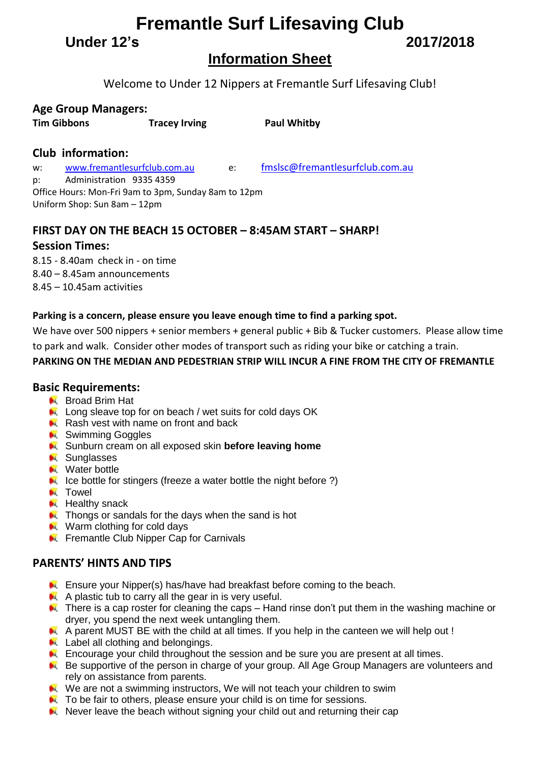# **Fremantle Surf Lifesaving Club**

**Under 12's 2017/2018**

# **Information Sheet**

Welcome to Under 12 Nippers at Fremantle Surf Lifesaving Club!

### **Age Group Managers:**

**Tim Gibbons Tracey Irving Paul Whitby**

## **Club information:**

w: [www.fremantlesurfclub.com.au](http://www.fremantlesurfclub.com.au/) e: [fmslsc@fremantlesurfclub.com.au](mailto:fmslsc@fremantlesurfclub.com.au) p: Administration 9335 4359 Office Hours: Mon-Fri 9am to 3pm, Sunday 8am to 12pm

Uniform Shop: Sun 8am – 12pm

## **FIRST DAY ON THE BEACH 15 OCTOBER – 8:45AM START – SHARP!**

### **Session Times:**

8.15 - 8.40am check in - on time 8.40 – 8.45am announcements 8.45 – 10.45am activities

### **Parking is a concern, please ensure you leave enough time to find a parking spot.**

We have over 500 nippers + senior members + general public + Bib & Tucker customers. Please allow time to park and walk. Consider other modes of transport such as riding your bike or catching a train.

### **PARKING ON THE MEDIAN AND PEDESTRIAN STRIP WILL INCUR A FINE FROM THE CITY OF FREMANTLE**

### **Basic Requirements:**

- **Broad Brim Hat**
- Long sleave top for on beach / wet suits for cold days OK
- Rash vest with name on front and back
- **N** Swimming Goggles
- **K** Sunburn cream on all exposed skin **before leaving home**
- **N** Sunglasses
- **N** Water bottle
- $\blacktriangleright$  Ice bottle for stingers (freeze a water bottle the night before ?)
- **N** Towel
- $H$  Healthy snack
- **A** Thongs or sandals for the days when the sand is hot
- Warm clothing for cold days
- **EX** Fremantle Club Nipper Cap for Carnivals

### **PARENTS' HINTS AND TIPS**

- **Ensure your Nipper(s) has/have had breakfast before coming to the beach.**
- $\blacktriangle$  A plastic tub to carry all the gear in is very useful.
- **A** There is a cap roster for cleaning the caps Hand rinse don't put them in the washing machine or dryer, you spend the next week untangling them.
- A parent MUST BE with the child at all times. If you help in the canteen we will help out !
- **Label all clothing and belongings.**
- **Encourage your child throughout the session and be sure you are present at all times.**
- Be supportive of the person in charge of your group. All Age Group Managers are volunteers and rely on assistance from parents.
- We are not a swimming instructors, We will not teach your children to swim
- **A** To be fair to others, please ensure your child is on time for sessions.
- $\blacktriangleright$  Never leave the beach without signing your child out and returning their cap